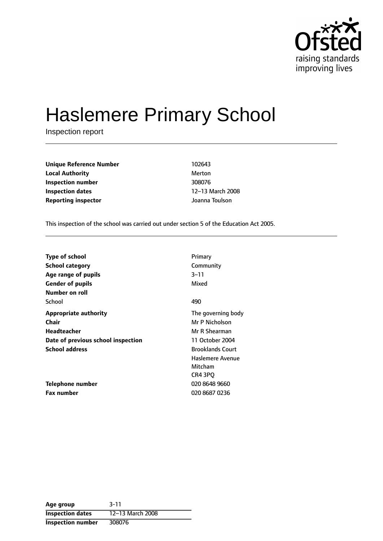

# Haslemere Primary School

Inspection report

**Unique Reference Number** 102643 **Local Authority** Merton **Inspection number** 308076 **Inspection dates** 12-13 March 2008 **Reporting inspector** Joanna Toulson

This inspection of the school was carried out under section 5 of the Education Act 2005.

| <b>Type of school</b>              | Primary                 |
|------------------------------------|-------------------------|
| <b>School category</b>             | Community               |
| Age range of pupils                | 3–11                    |
| <b>Gender of pupils</b>            | Mixed                   |
| Number on roll                     |                         |
| School                             | 490                     |
| <b>Appropriate authority</b>       | The governing body      |
| Chair                              | Mr P Nicholson          |
| Headteacher                        | Mr R Shearman           |
| Date of previous school inspection | 11 October 2004         |
| <b>School address</b>              | <b>Brooklands Court</b> |
|                                    | Haslemere Avenue        |
|                                    | Mitcham                 |
|                                    | CR4 3PO                 |
| Telephone number                   | 020 8648 9660           |
| <b>Fax number</b>                  | 020 8687 0236           |

| Age group                | $3 - 11$         |
|--------------------------|------------------|
| <b>Inspection dates</b>  | 12-13 March 2008 |
| <b>Inspection number</b> | 308076           |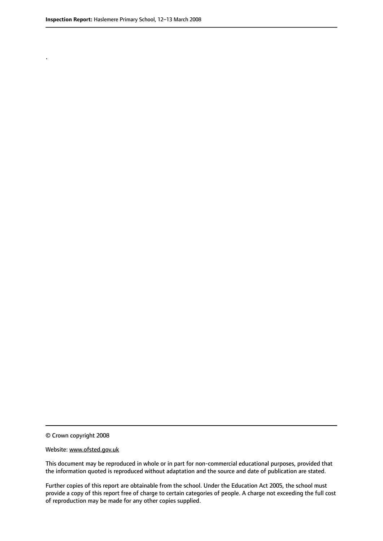.

© Crown copyright 2008

#### Website: www.ofsted.gov.uk

This document may be reproduced in whole or in part for non-commercial educational purposes, provided that the information quoted is reproduced without adaptation and the source and date of publication are stated.

Further copies of this report are obtainable from the school. Under the Education Act 2005, the school must provide a copy of this report free of charge to certain categories of people. A charge not exceeding the full cost of reproduction may be made for any other copies supplied.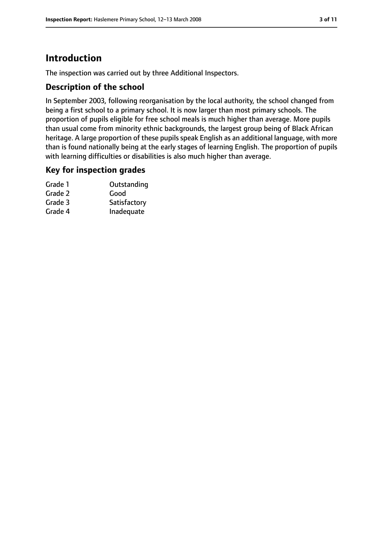# **Introduction**

The inspection was carried out by three Additional Inspectors.

## **Description of the school**

In September 2003, following reorganisation by the local authority, the school changed from being a first school to a primary school. It is now larger than most primary schools. The proportion of pupils eligible for free school meals is much higher than average. More pupils than usual come from minority ethnic backgrounds, the largest group being of Black African heritage. A large proportion of these pupils speak English as an additional language, with more than is found nationally being at the early stages of learning English. The proportion of pupils with learning difficulties or disabilities is also much higher than average.

## **Key for inspection grades**

| Grade 1 | Outstanding  |
|---------|--------------|
| Grade 2 | Good         |
| Grade 3 | Satisfactory |
| Grade 4 | Inadequate   |
|         |              |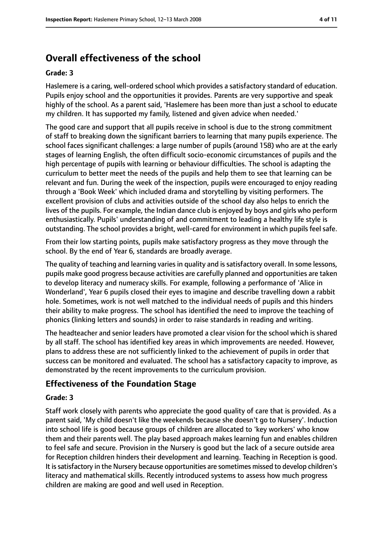# **Overall effectiveness of the school**

#### **Grade: 3**

Haslemere is a caring, well-ordered school which provides a satisfactory standard of education. Pupils enjoy school and the opportunities it provides. Parents are very supportive and speak highly of the school. As a parent said, 'Haslemere has been more than just a school to educate my children. It has supported my family, listened and given advice when needed.'

The good care and support that all pupils receive in school is due to the strong commitment of staff to breaking down the significant barriers to learning that many pupils experience. The school faces significant challenges: a large number of pupils (around 158) who are at the early stages of learning English, the often difficult socio-economic circumstances of pupils and the high percentage of pupils with learning or behaviour difficulties. The school is adapting the curriculum to better meet the needs of the pupils and help them to see that learning can be relevant and fun. During the week of the inspection, pupils were encouraged to enjoy reading through a 'Book Week' which included drama and storytelling by visiting performers. The excellent provision of clubs and activities outside of the school day also helps to enrich the lives of the pupils. For example, the Indian dance club is enjoyed by boys and girls who perform enthusiastically. Pupils' understanding of and commitment to leading a healthy life style is outstanding. The school provides a bright, well-cared for environment in which pupils feel safe.

From their low starting points, pupils make satisfactory progress as they move through the school. By the end of Year 6, standards are broadly average.

The quality of teaching and learning varies in quality and is satisfactory overall. In some lessons, pupils make good progress because activities are carefully planned and opportunities are taken to develop literacy and numeracy skills. For example, following a performance of 'Alice in Wonderland', Year 6 pupils closed their eyes to imagine and describe travelling down a rabbit hole. Sometimes, work is not well matched to the individual needs of pupils and this hinders their ability to make progress. The school has identified the need to improve the teaching of phonics (linking letters and sounds) in order to raise standards in reading and writing.

The headteacher and senior leaders have promoted a clear vision for the school which is shared by all staff. The school has identified key areas in which improvements are needed. However, plans to address these are not sufficiently linked to the achievement of pupils in order that success can be monitored and evaluated. The school has a satisfactory capacity to improve, as demonstrated by the recent improvements to the curriculum provision.

## **Effectiveness of the Foundation Stage**

#### **Grade: 3**

Staff work closely with parents who appreciate the good quality of care that is provided. As a parent said, 'My child doesn't like the weekends because she doesn't go to Nursery'. Induction into school life is good because groups of children are allocated to 'key workers' who know them and their parents well. The play based approach makes learning fun and enables children to feel safe and secure. Provision in the Nursery is good but the lack of a secure outside area for Reception children hinders their development and learning. Teaching in Reception is good. It is satisfactory in the Nursery because opportunities are sometimes missed to develop children's literacy and mathematical skills. Recently introduced systems to assess how much progress children are making are good and well used in Reception.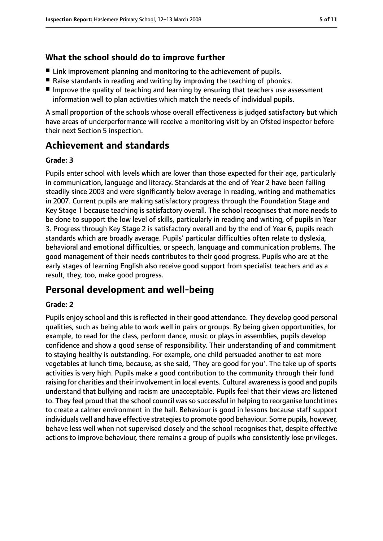## **What the school should do to improve further**

- Link improvement planning and monitoring to the achievement of pupils.
- Raise standards in reading and writing by improving the teaching of phonics.
- Improve the quality of teaching and learning by ensuring that teachers use assessment information well to plan activities which match the needs of individual pupils.

A small proportion of the schools whose overall effectiveness is judged satisfactory but which have areas of underperformance will receive a monitoring visit by an Ofsted inspector before their next Section 5 inspection.

# **Achievement and standards**

#### **Grade: 3**

Pupils enter school with levels which are lower than those expected for their age, particularly in communication, language and literacy. Standards at the end of Year 2 have been falling steadily since 2003 and were significantly below average in reading, writing and mathematics in 2007. Current pupils are making satisfactory progress through the Foundation Stage and Key Stage 1 because teaching is satisfactory overall. The school recognises that more needs to be done to support the low level of skills, particularly in reading and writing, of pupils in Year 3. Progress through Key Stage 2 is satisfactory overall and by the end of Year 6, pupils reach standards which are broadly average. Pupils' particular difficulties often relate to dyslexia, behavioral and emotional difficulties, or speech, language and communication problems. The good management of their needs contributes to their good progress. Pupils who are at the early stages of learning English also receive good support from specialist teachers and as a result, they, too, make good progress.

# **Personal development and well-being**

## **Grade: 2**

Pupils enjoy school and this is reflected in their good attendance. They develop good personal qualities, such as being able to work well in pairs or groups. By being given opportunities, for example, to read for the class, perform dance, music or plays in assemblies, pupils develop confidence and show a good sense of responsibility. Their understanding of and commitment to staying healthy is outstanding. For example, one child persuaded another to eat more vegetables at lunch time, because, as she said, 'They are good for you'. The take up of sports activities is very high. Pupils make a good contribution to the community through their fund raising for charities and their involvement in local events. Cultural awareness is good and pupils understand that bullying and racism are unacceptable. Pupils feel that their views are listened to. They feel proud that the school council was so successful in helping to reorganise lunchtimes to create a calmer environment in the hall. Behaviour is good in lessons because staff support individuals well and have effective strategies to promote good behaviour. Some pupils, however, behave less well when not supervised closely and the school recognises that, despite effective actions to improve behaviour, there remains a group of pupils who consistently lose privileges.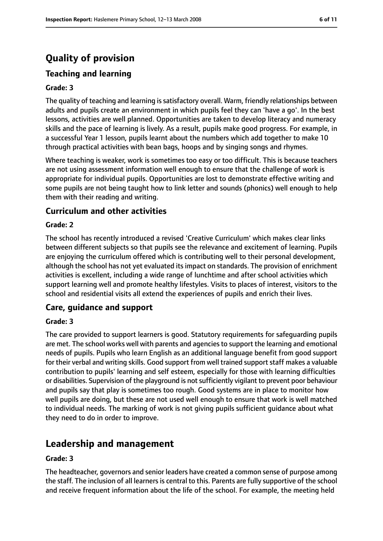# **Quality of provision**

# **Teaching and learning**

#### **Grade: 3**

The quality of teaching and learning is satisfactory overall. Warm, friendly relationships between adults and pupils create an environment in which pupils feel they can 'have a go'. In the best lessons, activities are well planned. Opportunities are taken to develop literacy and numeracy skills and the pace of learning is lively. As a result, pupils make good progress. For example, in a successful Year 1 lesson, pupils learnt about the numbers which add together to make 10 through practical activities with bean bags, hoops and by singing songs and rhymes.

Where teaching is weaker, work is sometimes too easy or too difficult. This is because teachers are not using assessment information well enough to ensure that the challenge of work is appropriate for individual pupils. Opportunities are lost to demonstrate effective writing and some pupils are not being taught how to link letter and sounds (phonics) well enough to help them with their reading and writing.

## **Curriculum and other activities**

#### **Grade: 2**

The school has recently introduced a revised 'Creative Curriculum' which makes clear links between different subjects so that pupils see the relevance and excitement of learning. Pupils are enjoying the curriculum offered which is contributing well to their personal development, although the school has not yet evaluated its impact on standards. The provision of enrichment activities is excellent, including a wide range of lunchtime and after school activities which support learning well and promote healthy lifestyles. Visits to places of interest, visitors to the school and residential visits all extend the experiences of pupils and enrich their lives.

#### **Care, guidance and support**

#### **Grade: 3**

The care provided to support learners is good. Statutory requirements for safeguarding pupils are met. The school works well with parents and agencies to support the learning and emotional needs of pupils. Pupils who learn English as an additional language benefit from good support for their verbal and writing skills. Good support from well trained supportstaff makes a valuable contribution to pupils' learning and self esteem, especially for those with learning difficulties or disabilities. Supervision of the playground is not sufficiently vigilant to prevent poor behaviour and pupils say that play is sometimes too rough. Good systems are in place to monitor how well pupils are doing, but these are not used well enough to ensure that work is well matched to individual needs. The marking of work is not giving pupils sufficient guidance about what they need to do in order to improve.

# **Leadership and management**

#### **Grade: 3**

The headteacher, governors and senior leaders have created a common sense of purpose among the staff. The inclusion of all learners is central to this. Parents are fully supportive of the school and receive frequent information about the life of the school. For example, the meeting held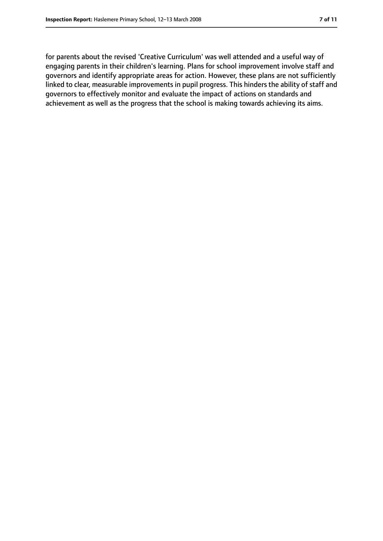for parents about the revised 'Creative Curriculum' was well attended and a useful way of engaging parents in their children's learning. Plans for school improvement involve staff and governors and identify appropriate areas for action. However, these plans are not sufficiently linked to clear, measurable improvements in pupil progress. This hinders the ability of staff and governors to effectively monitor and evaluate the impact of actions on standards and achievement as well as the progress that the school is making towards achieving its aims.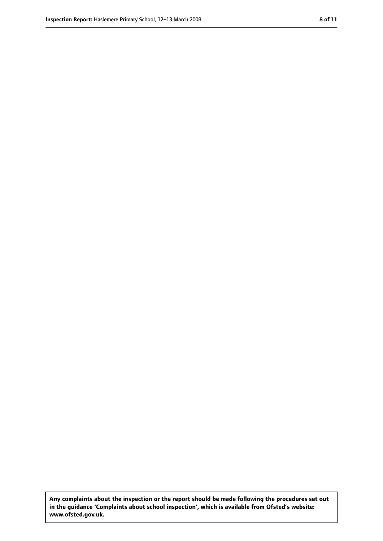**Any complaints about the inspection or the report should be made following the procedures set out in the guidance 'Complaints about school inspection', which is available from Ofsted's website: www.ofsted.gov.uk.**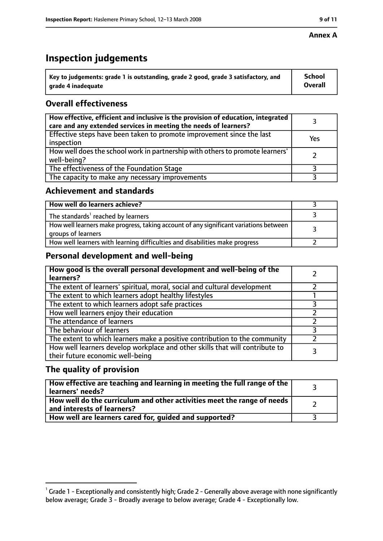#### **Annex A**

# **Inspection judgements**

| $^{\circ}$ Key to judgements: grade 1 is outstanding, grade 2 good, grade 3 satisfactory, and | School         |
|-----------------------------------------------------------------------------------------------|----------------|
| arade 4 inadequate                                                                            | <b>Overall</b> |

# **Overall effectiveness**

| How effective, efficient and inclusive is the provision of education, integrated<br>care and any extended services in meeting the needs of learners? |     |
|------------------------------------------------------------------------------------------------------------------------------------------------------|-----|
| Effective steps have been taken to promote improvement since the last<br>inspection                                                                  | Yes |
| How well does the school work in partnership with others to promote learners'<br>well-being?                                                         |     |
| The effectiveness of the Foundation Stage                                                                                                            |     |
| The capacity to make any necessary improvements                                                                                                      |     |

## **Achievement and standards**

| How well do learners achieve?                                                                               |  |
|-------------------------------------------------------------------------------------------------------------|--|
| The standards <sup>1</sup> reached by learners                                                              |  |
| How well learners make progress, taking account of any significant variations between<br>groups of learners |  |
| How well learners with learning difficulties and disabilities make progress                                 |  |

## **Personal development and well-being**

| How good is the overall personal development and well-being of the<br>learners?                                  |  |
|------------------------------------------------------------------------------------------------------------------|--|
| The extent of learners' spiritual, moral, social and cultural development                                        |  |
| The extent to which learners adopt healthy lifestyles                                                            |  |
| The extent to which learners adopt safe practices                                                                |  |
| How well learners enjoy their education                                                                          |  |
| The attendance of learners                                                                                       |  |
| The behaviour of learners                                                                                        |  |
| The extent to which learners make a positive contribution to the community                                       |  |
| How well learners develop workplace and other skills that will contribute to<br>their future economic well-being |  |

## **The quality of provision**

| How effective are teaching and learning in meeting the full range of the<br>learners' needs?          |  |
|-------------------------------------------------------------------------------------------------------|--|
| How well do the curriculum and other activities meet the range of needs<br>and interests of learners? |  |
| How well are learners cared for, guided and supported?                                                |  |

 $^1$  Grade 1 - Exceptionally and consistently high; Grade 2 - Generally above average with none significantly below average; Grade 3 - Broadly average to below average; Grade 4 - Exceptionally low.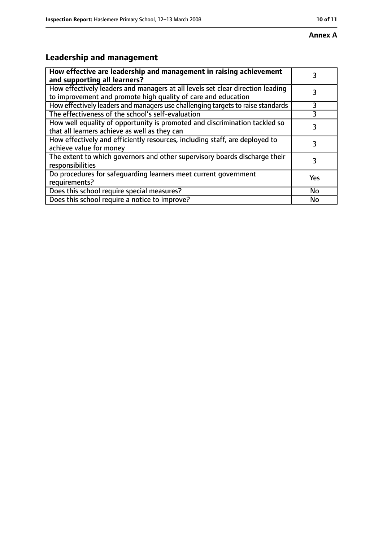# **Leadership and management**

| How effective are leadership and management in raising achievement<br>and supporting all learners?                                              |     |
|-------------------------------------------------------------------------------------------------------------------------------------------------|-----|
| How effectively leaders and managers at all levels set clear direction leading<br>to improvement and promote high quality of care and education |     |
| How effectively leaders and managers use challenging targets to raise standards                                                                 | 3   |
| The effectiveness of the school's self-evaluation                                                                                               |     |
| How well equality of opportunity is promoted and discrimination tackled so<br>that all learners achieve as well as they can                     | 3   |
| How effectively and efficiently resources, including staff, are deployed to<br>achieve value for money                                          | 3   |
| The extent to which governors and other supervisory boards discharge their<br>responsibilities                                                  | 3   |
| Do procedures for safequarding learners meet current government<br>requirements?                                                                | Yes |
| Does this school require special measures?                                                                                                      | No  |
| Does this school require a notice to improve?                                                                                                   | No  |